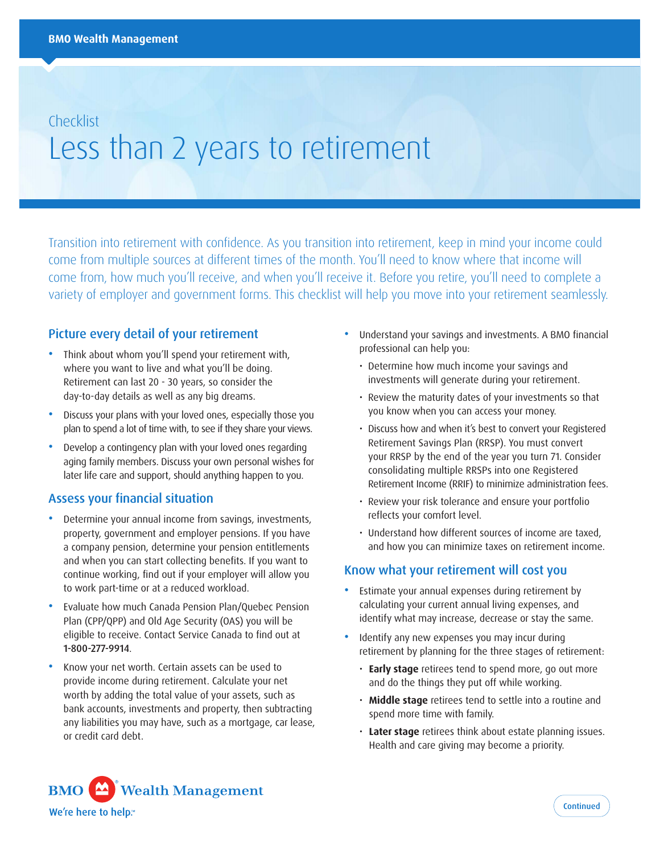# **Checklist** Less than 2 years to retirement

Transition into retirement with confidence. As you transition into retirement, keep in mind your income could come from multiple sources at different times of the month. You'll need to know where that income will come from, how much you'll receive, and when you'll receive it. Before you retire, you'll need to complete a variety of employer and government forms. This checklist will help you move into your retirement seamlessly.

## Picture every detail of your retirement

- Think about whom you'll spend your retirement with, where you want to live and what you'll be doing. Retirement can last 20 - 30 years, so consider the day-to-day details as well as any big dreams.
- Discuss your plans with your loved ones, especially those you plan to spend a lot of time with, to see if they share your views.
- Develop a contingency plan with your loved ones regarding aging family members. Discuss your own personal wishes for later life care and support, should anything happen to you.

#### Assess your financial situation

- Determine your annual income from savings, investments, property, government and employer pensions. If you have a company pension, determine your pension entitlements and when you can start collecting benefits. If you want to continue working, find out if your employer will allow you to work part-time or at a reduced workload.
- Evaluate how much Canada Pension Plan/Quebec Pension Plan (CPP/QPP) and Old Age Security (OAS) you will be eligible to receive. Contact Service Canada to find out at 1-800-277-9914.
- Know your net worth. Certain assets can be used to provide income during retirement. Calculate your net worth by adding the total value of your assets, such as bank accounts, investments and property, then subtracting any liabilities you may have, such as a mortgage, car lease, or credit card debt.
- Understand your savings and investments. A BMO financial professional can help you:
	- Determine how much income your savings and investments will generate during your retirement.
	- Review the maturity dates of your investments so that you know when you can access your money.
	- Discuss how and when it's best to convert your Registered Retirement Savings Plan (RRSP). You must convert your RRSP by the end of the year you turn 71. Consider consolidating multiple RRSPs into one Registered Retirement Income (RRIF) to minimize administration fees.
	- Review your risk tolerance and ensure your portfolio reflects your comfort level.
	- Understand how different sources of income are taxed, and how you can minimize taxes on retirement income.

#### Know what your retirement will cost you

- Estimate your annual expenses during retirement by calculating your current annual living expenses, and identify what may increase, decrease or stay the same.
- Identify any new expenses you may incur during retirement by planning for the three stages of retirement:
	- **Early stage** retirees tend to spend more, go out more and do the things they put off while working.
	- **Middle stage** retirees tend to settle into a routine and spend more time with family.
	- **Later stage** retirees think about estate planning issues. Health and care giving may become a priority.